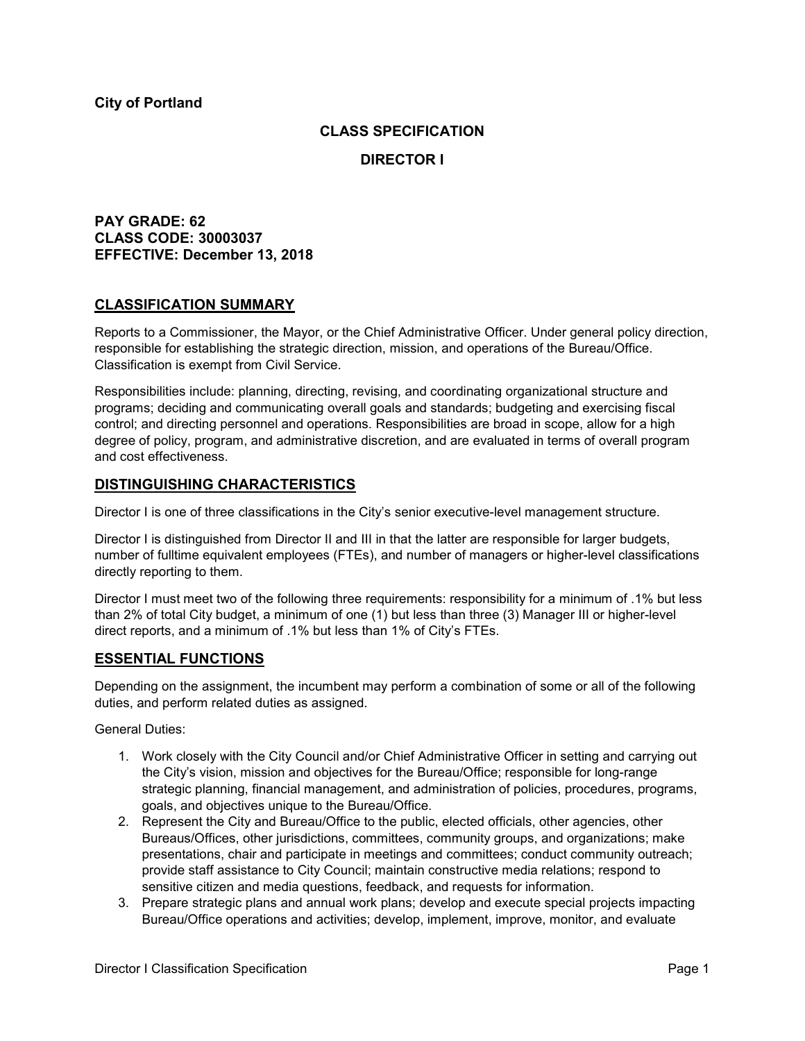## **CLASS SPECIFICATION**

### **DIRECTOR I**

## **PAY GRADE: 62 CLASS CODE: 30003037 EFFECTIVE: December 13, 2018**

### **CLASSIFICATION SUMMARY**

Reports to a Commissioner, the Mayor, or the Chief Administrative Officer. Under general policy direction, responsible for establishing the strategic direction, mission, and operations of the Bureau/Office. Classification is exempt from Civil Service.

Responsibilities include: planning, directing, revising, and coordinating organizational structure and programs; deciding and communicating overall goals and standards; budgeting and exercising fiscal control; and directing personnel and operations. Responsibilities are broad in scope, allow for a high degree of policy, program, and administrative discretion, and are evaluated in terms of overall program and cost effectiveness.

### **DISTINGUISHING CHARACTERISTICS**

Director I is one of three classifications in the City's senior executive-level management structure.

Director I is distinguished from Director II and III in that the latter are responsible for larger budgets, number of fulltime equivalent employees (FTEs), and number of managers or higher-level classifications directly reporting to them.

Director I must meet two of the following three requirements: responsibility for a minimum of .1% but less than 2% of total City budget, a minimum of one (1) but less than three (3) Manager III or higher-level direct reports, and a minimum of .1% but less than 1% of City's FTEs.

## **ESSENTIAL FUNCTIONS**

Depending on the assignment, the incumbent may perform a combination of some or all of the following duties, and perform related duties as assigned.

General Duties:

- 1. Work closely with the City Council and/or Chief Administrative Officer in setting and carrying out the City's vision, mission and objectives for the Bureau/Office; responsible for long-range strategic planning, financial management, and administration of policies, procedures, programs, goals, and objectives unique to the Bureau/Office.
- 2. Represent the City and Bureau/Office to the public, elected officials, other agencies, other Bureaus/Offices, other jurisdictions, committees, community groups, and organizations; make presentations, chair and participate in meetings and committees; conduct community outreach; provide staff assistance to City Council; maintain constructive media relations; respond to sensitive citizen and media questions, feedback, and requests for information.
- 3. Prepare strategic plans and annual work plans; develop and execute special projects impacting Bureau/Office operations and activities; develop, implement, improve, monitor, and evaluate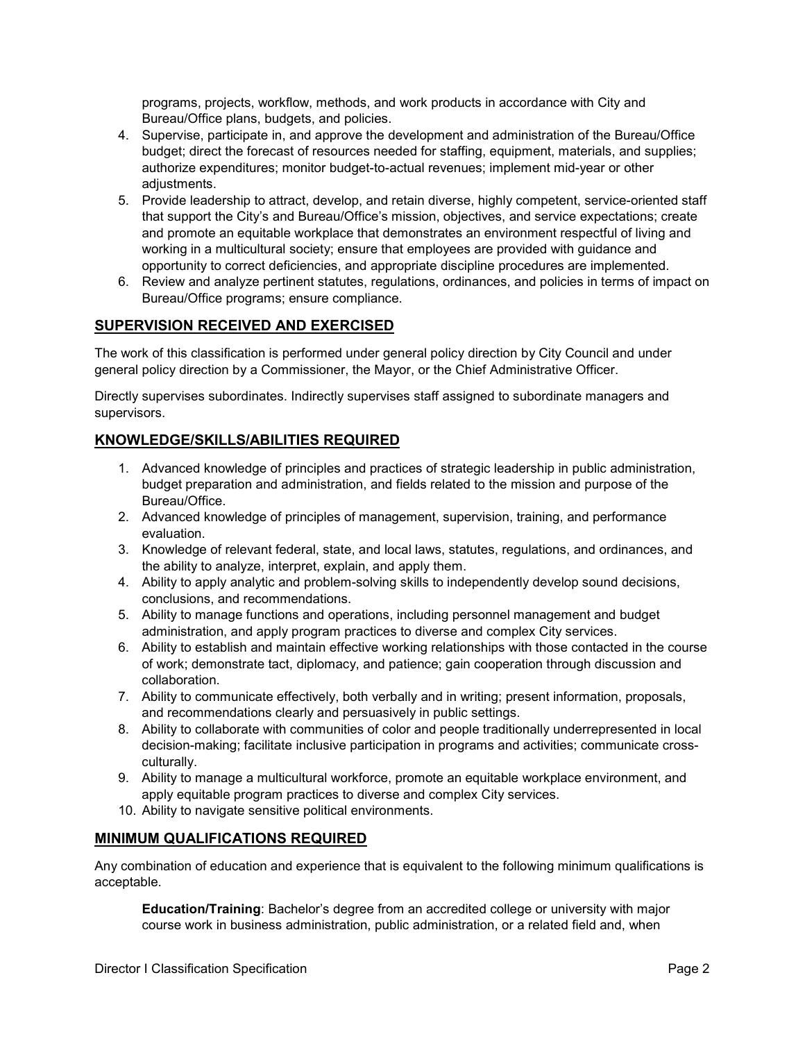programs, projects, workflow, methods, and work products in accordance with City and Bureau/Office plans, budgets, and policies.

- 4. Supervise, participate in, and approve the development and administration of the Bureau/Office budget; direct the forecast of resources needed for staffing, equipment, materials, and supplies; authorize expenditures; monitor budget-to-actual revenues; implement mid-year or other adiustments.
- 5. Provide leadership to attract, develop, and retain diverse, highly competent, service-oriented staff that support the City's and Bureau/Office's mission, objectives, and service expectations; create and promote an equitable workplace that demonstrates an environment respectful of living and working in a multicultural society; ensure that employees are provided with guidance and opportunity to correct deficiencies, and appropriate discipline procedures are implemented.
- 6. Review and analyze pertinent statutes, regulations, ordinances, and policies in terms of impact on Bureau/Office programs; ensure compliance.

# **SUPERVISION RECEIVED AND EXERCISED**

The work of this classification is performed under general policy direction by City Council and under general policy direction by a Commissioner, the Mayor, or the Chief Administrative Officer.

Directly supervises subordinates. Indirectly supervises staff assigned to subordinate managers and supervisors.

# **KNOWLEDGE/SKILLS/ABILITIES REQUIRED**

- 1. Advanced knowledge of principles and practices of strategic leadership in public administration, budget preparation and administration, and fields related to the mission and purpose of the Bureau/Office.
- 2. Advanced knowledge of principles of management, supervision, training, and performance evaluation.
- 3. Knowledge of relevant federal, state, and local laws, statutes, regulations, and ordinances, and the ability to analyze, interpret, explain, and apply them.
- 4. Ability to apply analytic and problem-solving skills to independently develop sound decisions, conclusions, and recommendations.
- 5. Ability to manage functions and operations, including personnel management and budget administration, and apply program practices to diverse and complex City services.
- 6. Ability to establish and maintain effective working relationships with those contacted in the course of work; demonstrate tact, diplomacy, and patience; gain cooperation through discussion and collaboration.
- 7. Ability to communicate effectively, both verbally and in writing; present information, proposals, and recommendations clearly and persuasively in public settings.
- 8. Ability to collaborate with communities of color and people traditionally underrepresented in local decision-making; facilitate inclusive participation in programs and activities; communicate crossculturally.
- 9. Ability to manage a multicultural workforce, promote an equitable workplace environment, and apply equitable program practices to diverse and complex City services.
- 10. Ability to navigate sensitive political environments.

## **MINIMUM QUALIFICATIONS REQUIRED**

Any combination of education and experience that is equivalent to the following minimum qualifications is acceptable.

**Education/Training**: Bachelor's degree from an accredited college or university with major course work in business administration, public administration, or a related field and, when